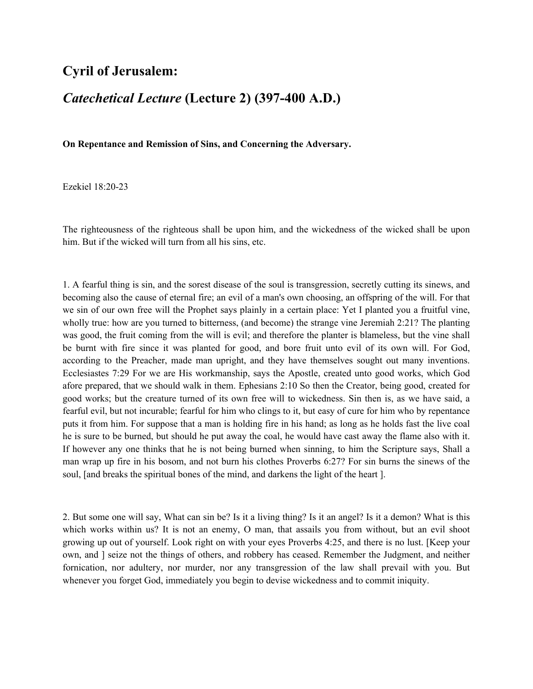## **Cyril of Jerusalem:**

## *Catechetical Lecture* **(Lecture 2) (397-400 A.D.)**

**On Repentance and Remission of Sins, and Concerning the Adversary.**

Ezekiel 18:20-23

The righteousness of the righteous shall be upon him, and the wickedness of the wicked shall be upon him. But if the wicked will turn from all his sins, etc.

1. A fearful thing is sin, and the sorest disease of the soul is transgression, secretly cutting its sinews, and becoming also the cause of eternal fire; an evil of a man's own choosing, an offspring of the will. For that we sin of our own free will the Prophet says plainly in a certain place: Yet I planted you a fruitful vine, wholly true: how are you turned to bitterness, (and become) the strange vine Jeremiah 2:21? The planting was good, the fruit coming from the will is evil; and therefore the planter is blameless, but the vine shall be burnt with fire since it was planted for good, and bore fruit unto evil of its own will. For God, according to the Preacher, made man upright, and they have themselves sought out many inventions. Ecclesiastes 7:29 For we are His workmanship, says the Apostle, created unto good works, which God afore prepared, that we should walk in them. Ephesians 2:10 So then the Creator, being good, created for good works; but the creature turned of its own free will to wickedness. Sin then is, as we have said, a fearful evil, but not incurable; fearful for him who clings to it, but easy of cure for him who by repentance puts it from him. For suppose that a man is holding fire in his hand; as long as he holds fast the live coal he is sure to be burned, but should he put away the coal, he would have cast away the flame also with it. If however any one thinks that he is not being burned when sinning, to him the Scripture says, Shall a man wrap up fire in his bosom, and not burn his clothes Proverbs 6:27? For sin burns the sinews of the soul, [and breaks the spiritual bones of the mind, and darkens the light of the heart ].

2. But some one will say, What can sin be? Is it a living thing? Is it an angel? Is it a demon? What is this which works within us? It is not an enemy, O man, that assails you from without, but an evil shoot growing up out of yourself. Look right on with your eyes Proverbs 4:25, and there is no lust. [Keep your own, and ] seize not the things of others, and robbery has ceased. Remember the Judgment, and neither fornication, nor adultery, nor murder, nor any transgression of the law shall prevail with you. But whenever you forget God, immediately you begin to devise wickedness and to commit iniquity.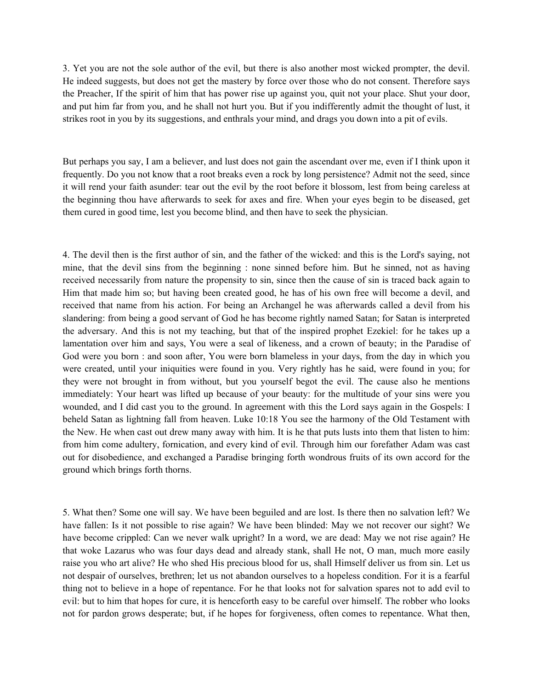3. Yet you are not the sole author of the evil, but there is also another most wicked prompter, the devil. He indeed suggests, but does not get the mastery by force over those who do not consent. Therefore says the Preacher, If the spirit of him that has power rise up against you, quit not your place. Shut your door, and put him far from you, and he shall not hurt you. But if you indifferently admit the thought of lust, it strikes root in you by its suggestions, and enthrals your mind, and drags you down into a pit of evils.

But perhaps you say, I am a believer, and lust does not gain the ascendant over me, even if I think upon it frequently. Do you not know that a root breaks even a rock by long persistence? Admit not the seed, since it will rend your faith asunder: tear out the evil by the root before it blossom, lest from being careless at the beginning thou have afterwards to seek for axes and fire. When your eyes begin to be diseased, get them cured in good time, lest you become blind, and then have to seek the physician.

4. The devil then is the first author of sin, and the father of the wicked: and this is the Lord's saying, not mine, that the devil sins from the beginning : none sinned before him. But he sinned, not as having received necessarily from nature the propensity to sin, since then the cause of sin is traced back again to Him that made him so; but having been created good, he has of his own free will become a devil, and received that name from his action. For being an Archangel he was afterwards called a devil from his slandering: from being a good servant of God he has become rightly named Satan; for Satan is interpreted the adversary. And this is not my teaching, but that of the inspired prophet Ezekiel: for he takes up a lamentation over him and says, You were a seal of likeness, and a crown of beauty; in the Paradise of God were you born : and soon after, You were born blameless in your days, from the day in which you were created, until your iniquities were found in you. Very rightly has he said, were found in you; for they were not brought in from without, but you yourself begot the evil. The cause also he mentions immediately: Your heart was lifted up because of your beauty: for the multitude of your sins were you wounded, and I did cast you to the ground. In agreement with this the Lord says again in the Gospels: I beheld Satan as lightning fall from heaven. Luke 10:18 You see the harmony of the Old Testament with the New. He when cast out drew many away with him. It is he that puts lusts into them that listen to him: from him come adultery, fornication, and every kind of evil. Through him our forefather Adam was cast out for disobedience, and exchanged a Paradise bringing forth wondrous fruits of its own accord for the ground which brings forth thorns.

5. What then? Some one will say. We have been beguiled and are lost. Is there then no salvation left? We have fallen: Is it not possible to rise again? We have been blinded: May we not recover our sight? We have become crippled: Can we never walk upright? In a word, we are dead: May we not rise again? He that woke Lazarus who was four days dead and already stank, shall He not, O man, much more easily raise you who art alive? He who shed His precious blood for us, shall Himself deliver us from sin. Let us not despair of ourselves, brethren; let us not abandon ourselves to a hopeless condition. For it is a fearful thing not to believe in a hope of repentance. For he that looks not for salvation spares not to add evil to evil: but to him that hopes for cure, it is henceforth easy to be careful over himself. The robber who looks not for pardon grows desperate; but, if he hopes for forgiveness, often comes to repentance. What then,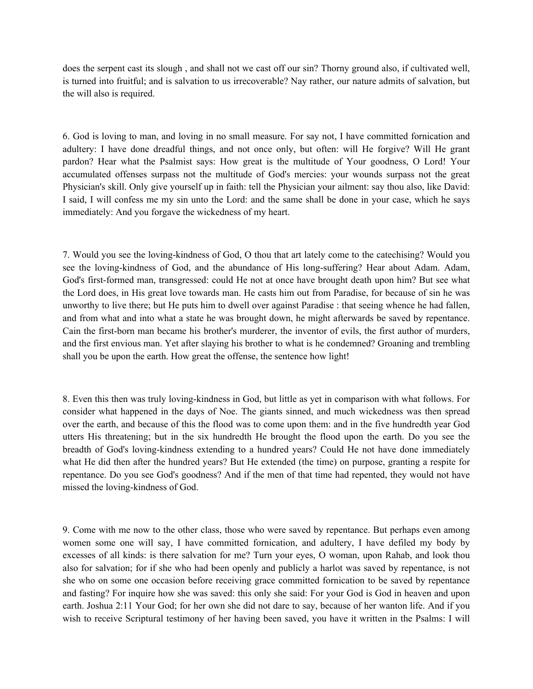does the serpent cast its slough , and shall not we cast off our sin? Thorny ground also, if cultivated well, is turned into fruitful; and is salvation to us irrecoverable? Nay rather, our nature admits of salvation, but the will also is required.

6. God is loving to man, and loving in no small measure. For say not, I have committed fornication and adultery: I have done dreadful things, and not once only, but often: will He forgive? Will He grant pardon? Hear what the Psalmist says: How great is the multitude of Your goodness, O Lord! Your accumulated offenses surpass not the multitude of God's mercies: your wounds surpass not the great Physician's skill. Only give yourself up in faith: tell the Physician your ailment: say thou also, like David: I said, I will confess me my sin unto the Lord: and the same shall be done in your case, which he says immediately: And you forgave the wickedness of my heart.

7. Would you see the loving-kindness of God, O thou that art lately come to the catechising? Would you see the loving-kindness of God, and the abundance of His long-suffering? Hear about Adam. Adam, God's first-formed man, transgressed: could He not at once have brought death upon him? But see what the Lord does, in His great love towards man. He casts him out from Paradise, for because of sin he was unworthy to live there; but He puts him to dwell over against Paradise : that seeing whence he had fallen, and from what and into what a state he was brought down, he might afterwards be saved by repentance. Cain the first-born man became his brother's murderer, the inventor of evils, the first author of murders, and the first envious man. Yet after slaying his brother to what is he condemned? Groaning and trembling shall you be upon the earth. How great the offense, the sentence how light!

8. Even this then was truly loving-kindness in God, but little as yet in comparison with what follows. For consider what happened in the days of Noe. The giants sinned, and much wickedness was then spread over the earth, and because of this the flood was to come upon them: and in the five hundredth year God utters His threatening; but in the six hundredth He brought the flood upon the earth. Do you see the breadth of God's loving-kindness extending to a hundred years? Could He not have done immediately what He did then after the hundred years? But He extended (the time) on purpose, granting a respite for repentance. Do you see God's goodness? And if the men of that time had repented, they would not have missed the loving-kindness of God.

9. Come with me now to the other class, those who were saved by repentance. But perhaps even among women some one will say, I have committed fornication, and adultery, I have defiled my body by excesses of all kinds: is there salvation for me? Turn your eyes, O woman, upon Rahab, and look thou also for salvation; for if she who had been openly and publicly a harlot was saved by repentance, is not she who on some one occasion before receiving grace committed fornication to be saved by repentance and fasting? For inquire how she was saved: this only she said: For your God is God in heaven and upon earth. Joshua 2:11 Your God; for her own she did not dare to say, because of her wanton life. And if you wish to receive Scriptural testimony of her having been saved, you have it written in the Psalms: I will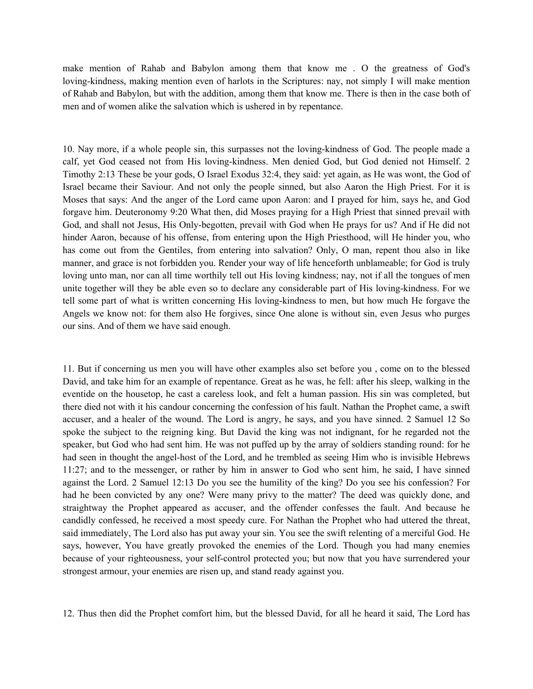make mention of Rahab and Babylon among them that know me . O the greatness of God's loving-kindness, making mention even of harlots in the Scriptures: nay, not simply I will make mention of Rahab and Babylon, but with the addition, among them that know me. There is then in the case both of men and of women alike the salvation which is ushered in by repentance.

10. Nay more, if a whole people sin, this surpasses not the loving-kindness of God. The people made a calf, yet God ceased not from His loving-kindness. Men denied God, but God denied not Himself. 2 Timothy 2:13 These be your gods, O Israel Exodus 32:4, they said: yet again, as He was wont, the God of Israel became their Saviour. And not only the people sinned, but also Aaron the High Priest. For it is Moses that says: And the anger of the Lord came upon Aaron: and I prayed for him, says he, and God forgave him. Deuteronomy 9:20 What then, did Moses praying for a High Priest that sinned prevail with God, and shall not Jesus, His Only-begotten, prevail with God when He prays for us? And if He did not hinder Aaron, because of his offense, from entering upon the High Priesthood, will He hinder you, who has come out from the Gentiles, from entering into salvation? Only, O man, repent thou also in like manner, and grace is not forbidden you. Render your way of life henceforth unblameable; for God is truly loving unto man, nor can all time worthily tell out His loving kindness; nay, not if all the tongues of men unite together will they be able even so to declare any considerable part of His loving-kindness. For we tell some part of what is written concerning His loving-kindness to men, but how much He forgave the Angels we know not: for them also He forgives, since One alone is without sin, even Jesus who purges our sins. And of them we have said enough.

11. But if concerning us men you will have other examples also set before you , come on to the blessed David, and take him for an example of repentance. Great as he was, he fell: after his sleep, walking in the eventide on the housetop, he cast a careless look, and felt a human passion. His sin was completed, but there died not with it his candour concerning the confession of his fault. Nathan the Prophet came, a swift accuser, and a healer of the wound. The Lord is angry, he says, and you have sinned. 2 Samuel 12 So spoke the subject to the reigning king. But David the king was not indignant, for he regarded not the speaker, but God who had sent him. He was not puffed up by the array of soldiers standing round: for he had seen in thought the angel-host of the Lord, and he trembled as seeing Him who is invisible Hebrews 11:27; and to the messenger, or rather by him in answer to God who sent him, he said, I have sinned against the Lord. 2 Samuel 12:13 Do you see the humility of the king? Do you see his confession? For had he been convicted by any one? Were many privy to the matter? The deed was quickly done, and straightway the Prophet appeared as accuser, and the offender confesses the fault. And because he candidly confessed, he received a most speedy cure. For Nathan the Prophet who had uttered the threat, said immediately, The Lord also has put away your sin. You see the swift relenting of a merciful God. He says, however, You have greatly provoked the enemies of the Lord. Though you had many enemies because of your righteousness, your self-control protected you; but now that you have surrendered your strongest armour, your enemies are risen up, and stand ready against you.

12. Thus then did the Prophet comfort him, but the blessed David, for all he heard it said, The Lord has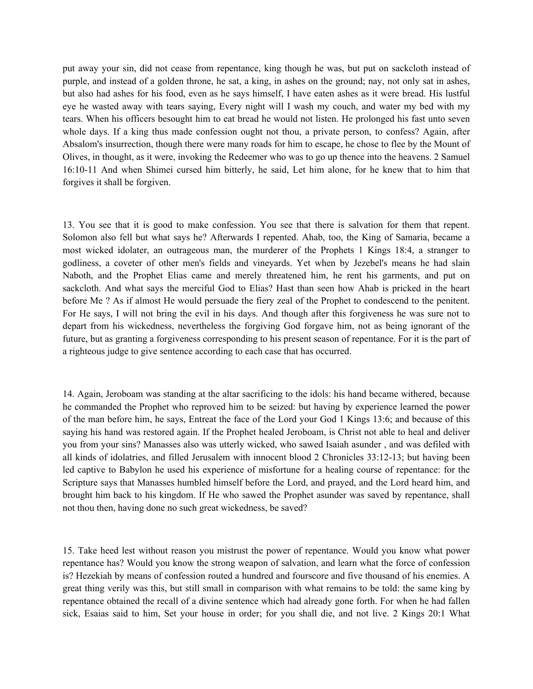put away your sin, did not cease from repentance, king though he was, but put on sackcloth instead of purple, and instead of a golden throne, he sat, a king, in ashes on the ground; nay, not only sat in ashes, but also had ashes for his food, even as he says himself, I have eaten ashes as it were bread. His lustful eye he wasted away with tears saying, Every night will I wash my couch, and water my bed with my tears. When his officers besought him to eat bread he would not listen. He prolonged his fast unto seven whole days. If a king thus made confession ought not thou, a private person, to confess? Again, after Absalom's insurrection, though there were many roads for him to escape, he chose to flee by the Mount of Olives, in thought, as it were, invoking the Redeemer who was to go up thence into the heavens. 2 Samuel 16:10-11 And when Shimei cursed him bitterly, he said, Let him alone, for he knew that to him that forgives it shall be forgiven.

13. You see that it is good to make confession. You see that there is salvation for them that repent. Solomon also fell but what says he? Afterwards I repented. Ahab, too, the King of Samaria, became a most wicked idolater, an outrageous man, the murderer of the Prophets 1 Kings 18:4, a stranger to godliness, a coveter of other men's fields and vineyards. Yet when by Jezebel's means he had slain Naboth, and the Prophet Elias came and merely threatened him, he rent his garments, and put on sackcloth. And what says the merciful God to Elias? Hast than seen how Ahab is pricked in the heart before Me ? As if almost He would persuade the fiery zeal of the Prophet to condescend to the penitent. For He says, I will not bring the evil in his days. And though after this forgiveness he was sure not to depart from his wickedness, nevertheless the forgiving God forgave him, not as being ignorant of the future, but as granting a forgiveness corresponding to his present season of repentance. For it is the part of a righteous judge to give sentence according to each case that has occurred.

14. Again, Jeroboam was standing at the altar sacrificing to the idols: his hand became withered, because he commanded the Prophet who reproved him to be seized: but having by experience learned the power of the man before him, he says, Entreat the face of the Lord your God 1 Kings 13:6; and because of this saying his hand was restored again. If the Prophet healed Jeroboam, is Christ not able to heal and deliver you from your sins? Manasses also was utterly wicked, who sawed Isaiah asunder , and was defiled with all kinds of idolatries, and filled Jerusalem with innocent blood 2 Chronicles 33:12-13; but having been led captive to Babylon he used his experience of misfortune for a healing course of repentance: for the Scripture says that Manasses humbled himself before the Lord, and prayed, and the Lord heard him, and brought him back to his kingdom. If He who sawed the Prophet asunder was saved by repentance, shall not thou then, having done no such great wickedness, be saved?

15. Take heed lest without reason you mistrust the power of repentance. Would you know what power repentance has? Would you know the strong weapon of salvation, and learn what the force of confession is? Hezekiah by means of confession routed a hundred and fourscore and five thousand of his enemies. A great thing verily was this, but still small in comparison with what remains to be told: the same king by repentance obtained the recall of a divine sentence which had already gone forth. For when he had fallen sick, Esaias said to him, Set your house in order; for you shall die, and not live. 2 Kings 20:1 What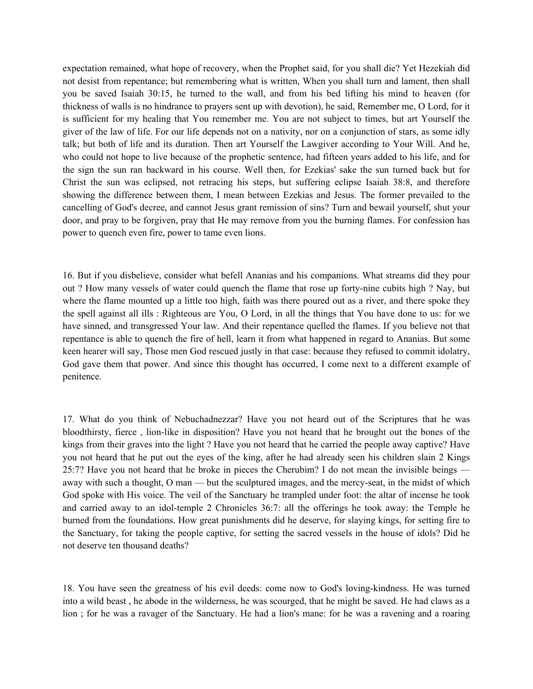expectation remained, what hope of recovery, when the Prophet said, for you shall die? Yet Hezekiah did not desist from repentance; but remembering what is written, When you shall turn and lament, then shall you be saved Isaiah 30:15, he turned to the wall, and from his bed lifting his mind to heaven (for thickness of walls is no hindrance to prayers sent up with devotion), he said, Remember me, O Lord, for it is sufficient for my healing that You remember me. You are not subject to times, but art Yourself the giver of the law of life. For our life depends not on a nativity, nor on a conjunction of stars, as some idly talk; but both of life and its duration. Then art Yourself the Lawgiver according to Your Will. And he, who could not hope to live because of the prophetic sentence, had fifteen years added to his life, and for the sign the sun ran backward in his course. Well then, for Ezekias' sake the sun turned back but for Christ the sun was eclipsed, not retracing his steps, but suffering eclipse Isaiah 38:8, and therefore showing the difference between them, I mean between Ezekias and Jesus. The former prevailed to the cancelling of God's decree, and cannot Jesus grant remission of sins? Turn and bewail yourself, shut your door, and pray to be forgiven, pray that He may remove from you the burning flames. For confession has power to quench even fire, power to tame even lions.

16. But if you disbelieve, consider what befell Ananias and his companions. What streams did they pour out ? How many vessels of water could quench the flame that rose up forty-nine cubits high ? Nay, but where the flame mounted up a little too high, faith was there poured out as a river, and there spoke they the spell against all ills : Righteous are You, O Lord, in all the things that You have done to us: for we have sinned, and transgressed Your law. And their repentance quelled the flames. If you believe not that repentance is able to quench the fire of hell, learn it from what happened in regard to Ananias. But some keen hearer will say, Those men God rescued justly in that case: because they refused to commit idolatry, God gave them that power. And since this thought has occurred, I come next to a different example of penitence.

17. What do you think of Nebuchadnezzar? Have you not heard out of the Scriptures that he was bloodthirsty, fierce , lion-like in disposition? Have you not heard that he brought out the bones of the kings from their graves into the light ? Have you not heard that he carried the people away captive? Have you not heard that he put out the eyes of the king, after he had already seen his children slain 2 Kings 25:7? Have you not heard that he broke in pieces the Cherubim? I do not mean the invisible beings away with such a thought, O man — but the sculptured images, and the mercy-seat, in the midst of which God spoke with His voice. The veil of the Sanctuary he trampled under foot: the altar of incense he took and carried away to an idol-temple 2 Chronicles 36:7: all the offerings he took away: the Temple he burned from the foundations. How great punishments did he deserve, for slaying kings, for setting fire to the Sanctuary, for taking the people captive, for setting the sacred vessels in the house of idols? Did he not deserve ten thousand deaths?

18. You have seen the greatness of his evil deeds: come now to God's loving-kindness. He was turned into a wild beast , he abode in the wilderness, he was scourged, that he might be saved. He had claws as a lion ; for he was a ravager of the Sanctuary. He had a lion's mane: for he was a ravening and a roaring